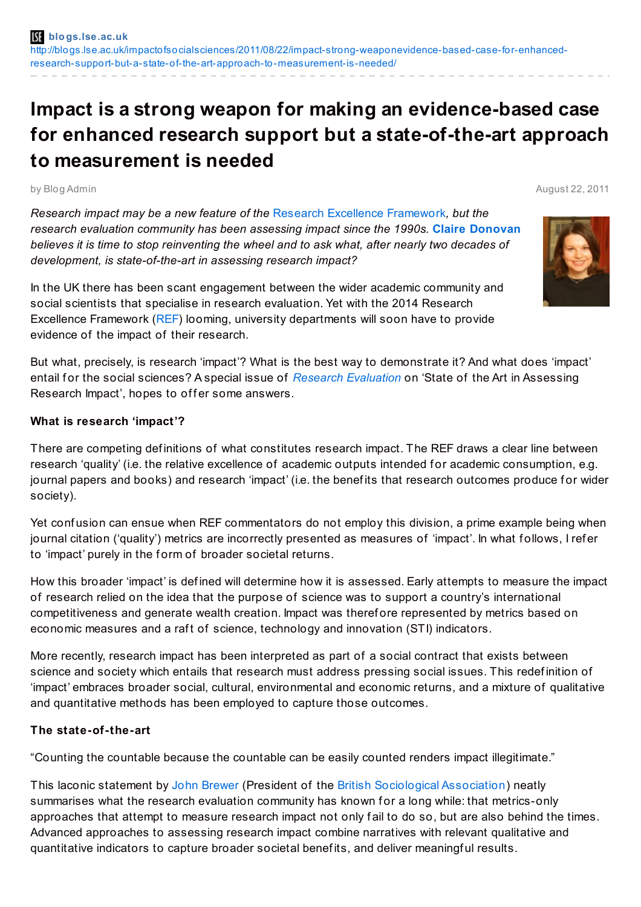# **Impact is a strong weapon for making an evidence-based case for enhanced research support but a state-of-the-art approach to measurement is needed**

by Blog Admin August 22, 2011

*Research impact may be a new feature of the* Research Excellence [Framework](http://www.hefce.ac.uk/research/ref)*, but the research evaluation community has been assessing impact since the 1990s.* **Claire [Donovan](http://blogs.lse.ac.uk/impactofsocialsciences/blog-contributors/#Claire_Donovan)** *believes it is time to stop reinventing the wheel and to ask what, after nearly two decades of development, is state-of-the-art in assessing research impact?*

In the UK there has been scant engagement between the wider academic community and social scientists that specialise in research evaluation. Yet with the 2014 Research Excellence Framework [\(REF](http://www.hefce.ac.uk/research/ref)) looming, university departments will soon have to provide evidence of the impact of their research.

But what, precisely, is research 'impact'? What is the best way to demonstrate it? And what does 'impact' entail for the social sciences? A special issue of *Research [Evaluation](http://www.ingentaconnect.com/content/beech/rev)* on 'State of the Art in Assessing Research Impact', hopes to offer some answers.

### **What is research 'impact'?**

There are competing definitions of what constitutes research impact. The REF draws a clear line between research 'quality' (i.e. the relative excellence of academic outputs intended for academic consumption, e.g. journal papers and books) and research 'impact' (i.e. the benefits that research outcomes produce for wider society).

Yet confusion can ensue when REF commentators do not employ this division, a prime example being when journal citation ('quality') metrics are incorrectly presented as measures of 'impact'. In what follows, I refer to 'impact' purely in the form of broader societal returns.

How this broader 'impact' is def ined will determine how it is assessed. Early attempts to measure the impact of research relied on the idea that the purpose of science was to support a country's international competitiveness and generate wealth creation. Impact was theref ore represented by metrics based on economic measures and a raft of science, technology and innovation (STI) indicators.

More recently, research impact has been interpreted as part of a social contract that exists between science and society which entails that research must address pressing social issues. This redef inition of 'impact' embraces broader social, cultural, environmental and economic returns, and a mixture of qualitative and quantitative methods has been employed to capture those outcomes.

# **The state-of-the-art**

"Counting the countable because the countable can be easily counted renders impact illegitimate."

This laconic statement by John [Brewer](http://www.abdn.ac.uk/socsci/staff/details.php?id=j.brewer) (President of the British [Sociological](http://www.britsoc.co.uk/) Association) neatly summarises what the research evaluation community has known for a long while: that metrics-only approaches that attempt to measure research impact not only fail to do so, but are also behind the times. Advanced approaches to assessing research impact combine narratives with relevant qualitative and quantitative indicators to capture broader societal benefits, and deliver meaningful results.

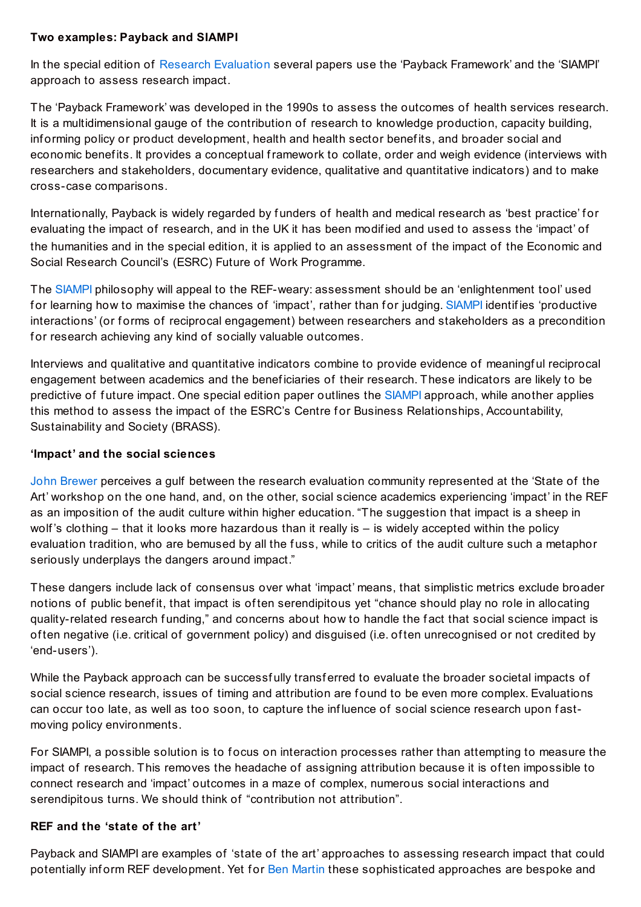## **Two examples: Payback and SIAMPI**

In the special edition of Research [Evaluation](http://www.ingentaconnect.com/content/beech/rev) several papers use the 'Payback Framework' and the 'SIAMPI' approach to assess research impact.

The 'Payback Framework' was developed in the 1990s to assess the outcomes of health services research. It is a multidimensional gauge of the contribution of research to knowledge production, capacity building, inf orming policy or product development, health and health sector benef its, and broader social and economic benef its. It provides a conceptual framework to collate, order and weigh evidence (interviews with researchers and stakeholders, documentary evidence, qualitative and quantitative indicators) and to make cross-case comparisons.

Internationally, Payback is widely regarded by funders of health and medical research as 'best practice' for evaluating the impact of research, and in the UK it has been modif ied and used to assess the 'impact' of the humanities and in the special edition, it is applied to an assessment of the impact of the Economic and Social Research Council's (ESRC) Future of Work Programme.

The [SIAMPI](http://www.siampi.eu/Pages/SIA/12/625.bGFuZz1FTkc.html) philosophy will appeal to the REF-weary: assessment should be an 'enlightenment tool' used for learning how to maximise the chances of 'impact', rather than for judging. [SIAMPI](http://www.siampi.eu/Pages/SIA/12/625.bGFuZz1FTkc.html) identifies 'productive interactions' (or forms of reciprocal engagement) between researchers and stakeholders as a precondition for research achieving any kind of socially valuable outcomes.

Interviews and qualitative and quantitative indicators combine to provide evidence of meaningf ul reciprocal engagement between academics and the benef iciaries of their research. These indicators are likely to be predictive of f uture impact. One special edition paper outlines the [SIAMPI](http://www.siampi.eu/Pages/SIA/12/625.bGFuZz1FTkc.html) approach, while another applies this method to assess the impact of the ESRC's Centre for Business Relationships, Accountability, Sustainability and Society (BRASS).

## **'Impact' and the social sciences**

John [Brewer](http://www.abdn.ac.uk/socsci/staff/details.php?id=j.brewer) perceives a gulf between the research evaluation community represented at the 'State of the Art' workshop on the one hand, and, on the other, social science academics experiencing 'impact' in the REF as an imposition of the audit culture within higher education. "The suggestion that impact is a sheep in wolf 's clothing – that it looks more hazardous than it really is – is widely accepted within the policy evaluation tradition, who are bemused by all the fuss, while to critics of the audit culture such a metaphor seriously underplays the dangers around impact."

These dangers include lack of consensus over what 'impact' means, that simplistic metrics exclude broader notions of public benef it, that impact is of ten serendipitous yet "chance should play no role in allocating quality-related research f unding," and concerns about how to handle the f act that social science impact is of ten negative (i.e. critical of government policy) and disguised (i.e. of ten unrecognised or not credited by 'end-users').

While the Payback approach can be successfully transferred to evaluate the broader societal impacts of social science research, issues of timing and attribution are found to be even more complex. Evaluations can occur too late, as well as too soon, to capture the inf luence of social science research upon f astmoving policy environments.

For SIAMPI, a possible solution is to focus on interaction processes rather than attempting to measure the impact of research. This removes the headache of assigning attribution because it is of ten impossible to connect research and 'impact' outcomes in a maze of complex, numerous social interactions and serendipitous turns. We should think of "contribution not attribution".

#### **REF and the 'state of the art'**

Payback and SIAMPI are examples of 'state of the art' approaches to assessing research impact that could potentially inform REF development. Yet for Ben [Martin](http://www.sussex.ac.uk/spru/people/peoplelists/person/1716) these sophisticated approaches are bespoke and